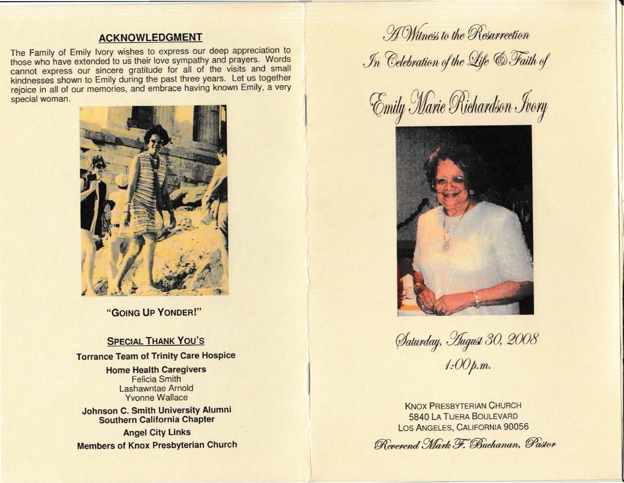## **ACKNOWLEDGMENT**

The Family of Emily Ivory wishes to express our deep appreciation to those who have extended to us their love sympathy and prayers. Words cannot express our sincere gratitude for all of the visits and small kindnesses shown to Emily during the past three years. Let us together rejoice in all of our memories, and embrace having known Emily, a very special woman.



**"GOING UP YONDER!"** 

## **SPECIAL THANK You's**

**Torrance Team of Trinity Care Hospice** 

## **Home Health Caregivers**  Felicia Smith Lashawntae Arnold Yvonne Wallace

**Johnson C. Smith University Alumni Southern California Chapter** 

**Angel City Links Members of Knox Presbyterian Church** 

*.* H Witness to the Resurrection  $\mathcal{I}_n$  Celebration of the Life **& Faith of** 

**Emily Marie Richardson Jvory** 



*<u>Aaturday</u>, Hugust 30, 2008 l:OO;.m.* 

KNOX PRESBYTERIAN CHURCH **5840 LA TIJERA BOULEVARD** LOS ANGELES, CALIFORNIA 90056

 $\overline{\phantom{a}}$ 

 ${\mathscr R}$ enerend Mark F. Buchanan, Pastor